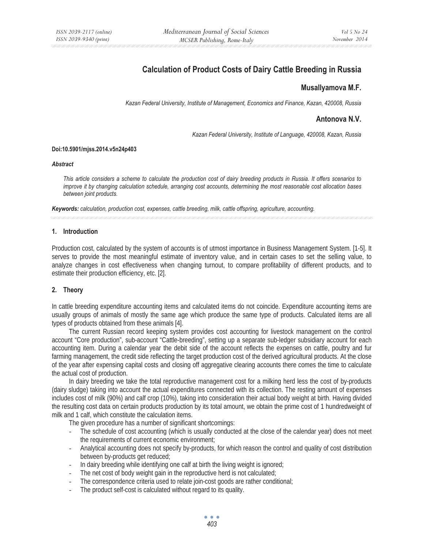# **Calculation of Product Costs of Dairy Cattle Breeding in Russia**

## **Musallyamova M.F.**

*Kazan Federal University, Institute of Management, Economics and Finance, Kazan, 420008, Russia* 

# **Antonova N.V.**

*Kazan Federal University, Institute of Language, 420008, Kazan, Russia* 

#### **Doi:10.5901/mjss.2014.v5n24p403**

#### *Abstract*

*This article considers a scheme to calculate the production cost of dairy breeding products in Russia. It offers scenarios to improve it by changing calculation schedule, arranging cost accounts, determining the most reasonable cost allocation bases between joint products.* 

*Keywords: calculation, production cost, expenses, cattle breeding, milk, cattle offspring, agriculture, accounting.*

#### **1. Introduction**

Production cost, calculated by the system of accounts is of utmost importance in Business Management System. [1-5]. It serves to provide the most meaningful estimate of inventory value, and in certain cases to set the selling value, to analyze changes in cost effectiveness when changing turnout, to compare profitability of different products, and to estimate their production efficiency, etc. [2].

#### **2. Theory**

In cattle breeding expenditure accounting items and calculated items do not coincide. Expenditure accounting items are usually groups of animals of mostly the same age which produce the same type of products. Calculated items are all types of products obtained from these animals [4].

The current Russian record keeping system provides cost accounting for livestock management on the control account "Core production", sub-account "Cattle-breeding", setting up a separate sub-ledger subsidiary account for each accounting item. During a calendar year the debit side of the account reflects the expenses on cattle, poultry and fur farming management, the credit side reflecting the target production cost of the derived agricultural products. At the close of the year after expensing capital costs and closing off aggregative clearing accounts there comes the time to calculate the actual cost of production.

In dairy breeding we take the total reproductive management cost for a milking herd less the cost of by-products (dairy sludge) taking into account the actual expenditures connected with its collection. The resting amount of expenses includes cost of milk (90%) and calf crop (10%), taking into consideration their actual body weight at birth. Having divided the resulting cost data on certain products production by its total amount, we obtain the prime cost of 1 hundredweight of milk and 1 calf, which constitute the calculation items.

The given procedure has a number of significant shortcomings:

- The schedule of cost accounting (which is usually conducted at the close of the calendar year) does not meet the requirements of current economic environment;
- Analytical accounting does not specify by-products, for which reason the control and quality of cost distribution between by-products get reduced;
- In dairy breeding while identifying one calf at birth the living weight is ignored;
- The net cost of body weight gain in the reproductive herd is not calculated;
- The correspondence criteria used to relate join-cost goods are rather conditional;
- The product self-cost is calculated without regard to its quality.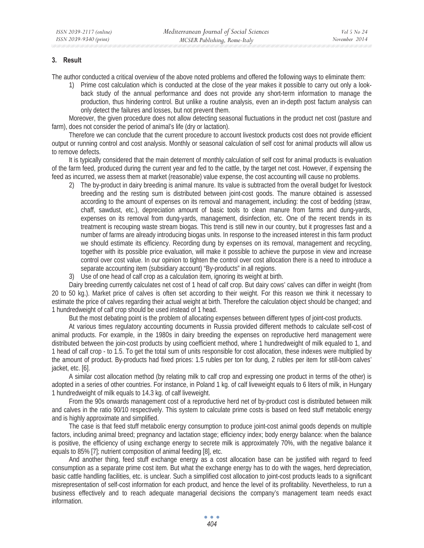#### **3. Result**

The author conducted a critical overview of the above noted problems and offered the following ways to eliminate them:

1) Prime cost calculation which is conducted at the close of the year makes it possible to carry out only a lookback study of the annual performance and does not provide any short-term information to manage the production, thus hindering control. But unlike a routine analysis, even an in-depth post factum analysis can only detect the failures and losses, but not prevent them.

Moreover, the given procedure does not allow detecting seasonal fluctuations in the product net cost (pasture and farm), does not consider the period of animal's life (dry or lactation).

Therefore we can conclude that the current procedure to account livestock products cost does not provide efficient output or running control and cost analysis. Monthly or seasonal calculation of self cost for animal products will allow us to remove defects.

It is typically considered that the main deterrent of monthly calculation of self cost for animal products is evaluation of the farm feed, produced during the current year and fed to the cattle, by the target net cost. However, if expensing the feed as incurred, we assess them at market (reasonable) value expense, the cost accounting will cause no problems.

- 2) The by-product in dairy breeding is animal manure. Its value is subtracted from the overall budget for livestock breeding and the resting sum is distributed between joint-cost goods. The manure obtained is assessed according to the amount of expenses on its removal and management, including: the cost of bedding (straw, chaff, sawdust, etc.), depreciation amount of basic tools to clean manure from farms and dung-yards, expenses on its removal from dung-yards, management, disinfection, etc. One of the recent trends in its treatment is recouping waste stream biogas. This trend is still new in our country, but it progresses fast and a number of farms are already introducing biogas units. In response to the increased interest in this farm product we should estimate its efficiency. Recording dung by expenses on its removal, management and recycling, together with its possible price evaluation, will make it possible to achieve the purpose in view and increase control over cost value. In our opinion to tighten the control over cost allocation there is a need to introduce a separate accounting item (subsidiary account) "By-products" in all regions.
- 3) Use of one head of calf crop as a calculation item, ignoring its weight at birth.

Dairy breeding currently calculates net cost of 1 head of calf crop. But dairy cows' calves can differ in weight (from 20 to 50 kg.). Market price of calves is often set according to their weight. For this reason we think it necessary to estimate the price of calves regarding their actual weight at birth. Therefore the calculation object should be changed; and 1 hundredweight of calf crop should be used instead of 1 head.

But the most debating point is the problem of allocating expenses between different types of joint-cost products.

At various times regulatory accounting documents in Russia provided different methods to calculate self-cost of animal products. For example, in the 1980s in dairy breeding the expenses on reproductive herd management were distributed between the join-cost products by using coefficient method, where 1 hundredweight of milk equaled to 1, and 1 head of calf crop - to 1.5. To get the total sum of units responsible for cost allocation, these indexes were multiplied by the amount of product. By-products had fixed prices: 1.5 rubles per ton for dung, 2 rubles per item for still-born calves' jacket, etc. [6].

A similar cost allocation method (by relating milk to calf crop and expressing one product in terms of the other) is adopted in a series of other countries. For instance, in Poland 1 kg. of calf liveweight equals to 6 liters of milk, in Hungary 1 hundredweight of milk equals to 14.3 kg. of calf liveweight.

From the 90s onwards management cost of a reproductive herd net of by-product cost is distributed between milk and calves in the ratio 90/10 respectively. This system to calculate prime costs is based on feed stuff metabolic energy and is highly approximate and simplified.

The case is that feed stuff metabolic energy consumption to produce joint-cost animal goods depends on multiple factors, including animal breed; pregnancy and lactation stage; efficiency index; body energy balance: when the balance is positive, the efficiency of using exchange energy to secrete milk is approximately 70%, with the negative balance it equals to 85% [7]; nutrient composition of animal feeding [8], etc.

And another thing, feed stuff exchange energy as a cost allocation base can be justified with regard to feed consumption as a separate prime cost item. But what the exchange energy has to do with the wages, herd depreciation, basic cattle handling facilities, etc. is unclear. Such a simplified cost allocation to joint-cost products leads to a significant misrepresentation of self-cost information for each product, and hence the level of its profitability. Nevertheless, to run a business effectively and to reach adequate managerial decisions the company's management team needs exact information.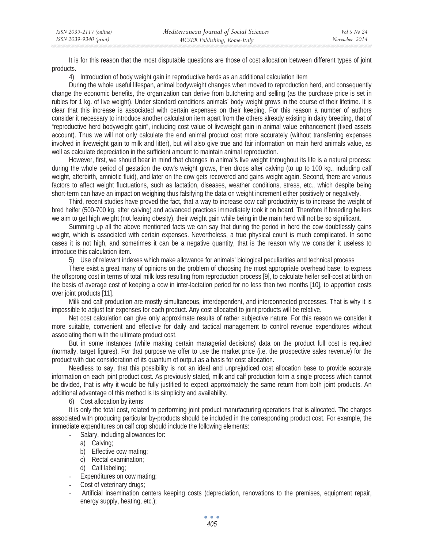| ISSN 2039-2117 (online) | Mediterranean Journal of Social Sciences | Vol 5 No 24   |
|-------------------------|------------------------------------------|---------------|
| ISSN 2039-9340 (print)  | MCSER Publishing, Rome-Italy             | November 2014 |

It is for this reason that the most disputable questions are those of cost allocation between different types of joint products.

4) Introduction of body weight gain in reproductive herds as an additional calculation item

During the whole useful lifespan, animal bodyweight changes when moved to reproduction herd, and consequently change the economic benefits, the organization can derive from butchering and selling (as the purchase price is set in rubles for 1 kg. of live weight). Under standard conditions animals' body weight grows in the course of their lifetime. It is clear that this increase is associated with certain expenses on their keeping. For this reason a number of authors consider it necessary to introduce another calculation item apart from the others already existing in dairy breeding, that of "reproductive herd bodyweight gain", including cost value of liveweight gain in animal value enhancement (fixed assets account). Thus we will not only calculate the end animal product cost more accurately (without transferring expenses involved in liveweight gain to milk and litter), but will also give true and fair information on main herd animals value, as well as calculate depreciation in the sufficient amount to maintain animal reproduction.

However, first, we should bear in mind that changes in animal's live weight throughout its life is a natural process: during the whole period of gestation the cow's weight grows, then drops after calving (to up to 100 kg., including calf weight, afterbirth, amniotic fluid), and later on the cow gets recovered and gains weight again. Second, there are various factors to affect weight fluctuations, such as lactation, diseases, weather conditions, stress, etc., which despite being short-term can have an impact on weighing thus falsifying the data on weight increment either positively or negatively.

Third, recent studies have proved the fact, that a way to increase cow calf productivity is to increase the weight of bred heifer (500-700 kg. after calving) and advanced practices immediately took it on board. Therefore if breeding heifers we aim to get high weight (not fearing obesity), their weight gain while being in the main herd will not be so significant.

Summing up all the above mentioned facts we can say that during the period in herd the cow doubtlessly gains weight, which is associated with certain expenses. Nevertheless, a true physical count is much complicated. In some cases it is not high, and sometimes it can be a negative quantity, that is the reason why we consider it useless to introduce this calculation item.

5) Use of relevant indexes which make allowance for animals' biological peculiarities and technical process

There exist a great many of opinions on the problem of choosing the most appropriate overhead base: to express the offsprong cost in terms of total milk loss resulting from reproduction process [9], to calculate heifer self-cost at birth on the basis of average cost of keeping a cow in inter-lactation period for no less than two months [10], to apportion costs over joint products [11].

Milk and calf production are mostly simultaneous, interdependent, and interconnected processes. That is why it is impossible to adjust fair expenses for each product. Any cost allocated to joint products will be relative.

Net cost calculation can give only approximate results of rather subjective nature. For this reason we consider it more suitable, convenient and effective for daily and tactical management to control revenue expenditures without associating them with the ultimate product cost.

But in some instances (while making certain managerial decisions) data on the product full cost is required (normally, target figures). For that purpose we offer to use the market price (i.e. the prospective sales revenue) for the product with due consideration of its quantum of output as a basis for cost allocation.

Needless to say, that this possibility is not an ideal and unprejudiced cost allocation base to provide accurate information on each joint product cost. As previously stated, milk and calf production form a single process which cannot be divided, that is why it would be fully justified to expect approximately the same return from both joint products. An additional advantage of this method is its simplicity and availability.

6) Cost allocation by items

It is only the total cost, related to performing joint product manufacturing operations that is allocated. The charges associated with producing particular by-products should be included in the corresponding product cost. For example, the immediate expenditures on calf crop should include the following elements:

- Salary, including allowances for:

- a) Calving;
- b) Effective cow mating;
- c) Rectal examination;
- d) Calf labeling;
- Expenditures on cow mating;
- Cost of veterinary drugs;
- Artificial insemination centers keeping costs (depreciation, renovations to the premises, equipment repair, energy supply, heating, etc.);